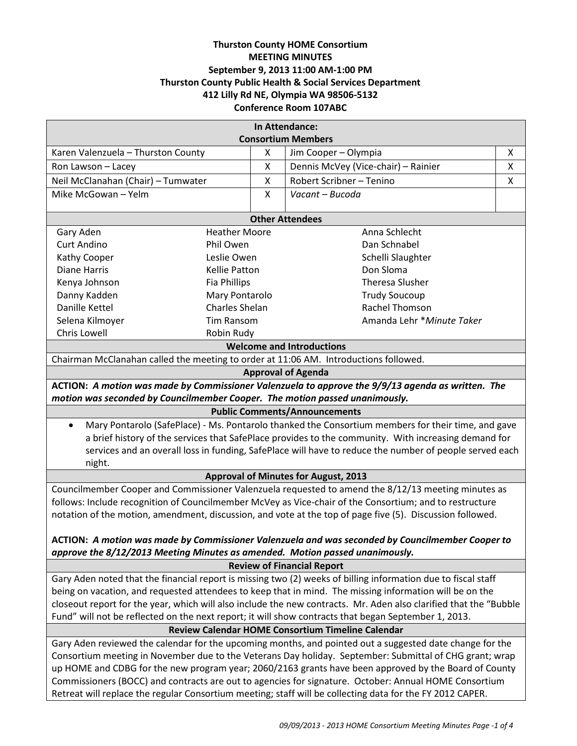# **Thurston County HOME Consortium MEETING MINUTES September 9, 2013 11:00 AM-1:00 PM Thurston County Public Health & Social Services Department 412 Lilly Rd NE, Olympia WA 98506-5132 Conference Room 107ABC**

| In Attendance:                                                                                                    |                       |   |                                     |   |
|-------------------------------------------------------------------------------------------------------------------|-----------------------|---|-------------------------------------|---|
| <b>Consortium Members</b>                                                                                         |                       |   |                                     |   |
| Karen Valenzuela - Thurston County                                                                                |                       | X | Jim Cooper - Olympia                | X |
| Ron Lawson - Lacey                                                                                                |                       | X | Dennis McVey (Vice-chair) - Rainier | X |
| Neil McClanahan (Chair) - Tumwater                                                                                |                       | X | Robert Scribner - Tenino            | X |
| Mike McGowan - Yelm                                                                                               |                       | X | Vacant - Bucoda                     |   |
| <b>Other Attendees</b>                                                                                            |                       |   |                                     |   |
| Gary Aden<br><b>Heather Moore</b><br>Anna Schlecht                                                                |                       |   |                                     |   |
| <b>Curt Andino</b>                                                                                                | Phil Owen             |   | Dan Schnabel                        |   |
| Kathy Cooper                                                                                                      | Leslie Owen           |   | Schelli Slaughter                   |   |
| <b>Diane Harris</b>                                                                                               | <b>Kellie Patton</b>  |   | Don Sloma                           |   |
| Kenya Johnson                                                                                                     | <b>Fia Phillips</b>   |   | <b>Theresa Slusher</b>              |   |
| Danny Kadden                                                                                                      | Mary Pontarolo        |   | <b>Trudy Soucoup</b>                |   |
| <b>Danille Kettel</b>                                                                                             | <b>Charles Shelan</b> |   | Rachel Thomson                      |   |
| Selena Kilmoyer                                                                                                   | <b>Tim Ransom</b>     |   | Amanda Lehr *Minute Taker           |   |
| Chris Lowell<br>Robin Rudy                                                                                        |                       |   |                                     |   |
| <b>Welcome and Introductions</b>                                                                                  |                       |   |                                     |   |
| Chairman McClanahan called the meeting to order at 11:06 AM. Introductions followed.                              |                       |   |                                     |   |
| <b>Approval of Agenda</b>                                                                                         |                       |   |                                     |   |
| ACTION: A motion was made by Commissioner Valenzuela to approve the 9/9/13 agenda as written. The                 |                       |   |                                     |   |
| motion was seconded by Councilmember Cooper. The motion passed unanimously.                                       |                       |   |                                     |   |
| <b>Public Comments/Announcements</b>                                                                              |                       |   |                                     |   |
| Mary Pontarolo (SafePlace) - Ms. Pontarolo thanked the Consortium members for their time, and gave<br>$\bullet$   |                       |   |                                     |   |
| a brief history of the services that SafePlace provides to the community. With increasing demand for              |                       |   |                                     |   |
| services and an overall loss in funding, SafePlace will have to reduce the number of people served each           |                       |   |                                     |   |
| night.                                                                                                            |                       |   |                                     |   |
| <b>Approval of Minutes for August, 2013</b>                                                                       |                       |   |                                     |   |
| Councilmember Cooper and Commissioner Valenzuela requested to amend the 8/12/13 meeting minutes as                |                       |   |                                     |   |
| follows: Include recognition of Councilmember McVey as Vice-chair of the Consortium; and to restructure           |                       |   |                                     |   |
| notation of the motion, amendment, discussion, and vote at the top of page five (5). Discussion followed.         |                       |   |                                     |   |
|                                                                                                                   |                       |   |                                     |   |
| ACTION: A motion was made by Commissioner Valenzuela and was seconded by Councilmember Cooper to                  |                       |   |                                     |   |
| approve the 8/12/2013 Meeting Minutes as amended. Motion passed unanimously.<br><b>Review of Financial Report</b> |                       |   |                                     |   |
| Gary Aden noted that the financial report is missing two (2) weeks of billing information due to fiscal staff     |                       |   |                                     |   |
| being on vacation, and requested attendees to keep that in mind. The missing information will be on the           |                       |   |                                     |   |
| closeout report for the year, which will also include the new contracts. Mr. Aden also clarified that the "Bubble |                       |   |                                     |   |
| Fund" will not be reflected on the next report; it will show contracts that began September 1, 2013.              |                       |   |                                     |   |
| Review Calendar HOME Consortium Timeline Calendar                                                                 |                       |   |                                     |   |
| Gary Aden reviewed the calendar for the upcoming months, and pointed out a suggested date change for the          |                       |   |                                     |   |
| Consortium meeting in November due to the Veterans Day holiday. September: Submittal of CHG grant; wrap           |                       |   |                                     |   |
| up HOME and CDBG for the new program year; 2060/2163 grants have been approved by the Board of County             |                       |   |                                     |   |
| Commissioners (BOCC) and contracts are out to agencies for signature. October: Annual HOME Consortium             |                       |   |                                     |   |
| Retreat will replace the regular Consortium meeting; staff will be collecting data for the FY 2012 CAPER.         |                       |   |                                     |   |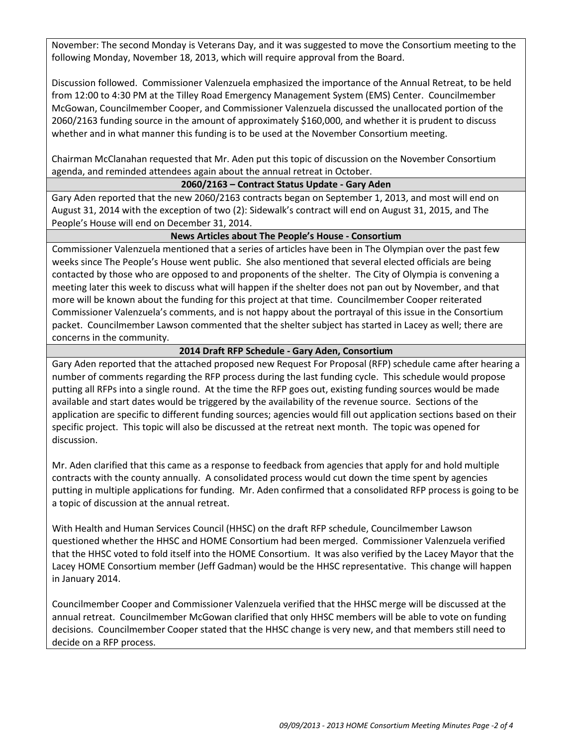November: The second Monday is Veterans Day, and it was suggested to move the Consortium meeting to the following Monday, November 18, 2013, which will require approval from the Board.

Discussion followed. Commissioner Valenzuela emphasized the importance of the Annual Retreat, to be held from 12:00 to 4:30 PM at the Tilley Road Emergency Management System (EMS) Center. Councilmember McGowan, Councilmember Cooper, and Commissioner Valenzuela discussed the unallocated portion of the 2060/2163 funding source in the amount of approximately \$160,000, and whether it is prudent to discuss whether and in what manner this funding is to be used at the November Consortium meeting.

Chairman McClanahan requested that Mr. Aden put this topic of discussion on the November Consortium agenda, and reminded attendees again about the annual retreat in October.

#### **2060/2163 – Contract Status Update - Gary Aden**

Gary Aden reported that the new 2060/2163 contracts began on September 1, 2013, and most will end on August 31, 2014 with the exception of two (2): Sidewalk's contract will end on August 31, 2015, and The People's House will end on December 31, 2014.

### **News Articles about The People's House - Consortium**

Commissioner Valenzuela mentioned that a series of articles have been in The Olympian over the past few weeks since The People's House went public. She also mentioned that several elected officials are being contacted by those who are opposed to and proponents of the shelter. The City of Olympia is convening a meeting later this week to discuss what will happen if the shelter does not pan out by November, and that more will be known about the funding for this project at that time. Councilmember Cooper reiterated Commissioner Valenzuela's comments, and is not happy about the portrayal of this issue in the Consortium packet. Councilmember Lawson commented that the shelter subject has started in Lacey as well; there are concerns in the community.

### **2014 Draft RFP Schedule - Gary Aden, Consortium**

Gary Aden reported that the attached proposed new Request For Proposal (RFP) schedule came after hearing a number of comments regarding the RFP process during the last funding cycle. This schedule would propose putting all RFPs into a single round. At the time the RFP goes out, existing funding sources would be made available and start dates would be triggered by the availability of the revenue source. Sections of the application are specific to different funding sources; agencies would fill out application sections based on their specific project. This topic will also be discussed at the retreat next month. The topic was opened for discussion.

Mr. Aden clarified that this came as a response to feedback from agencies that apply for and hold multiple contracts with the county annually. A consolidated process would cut down the time spent by agencies putting in multiple applications for funding. Mr. Aden confirmed that a consolidated RFP process is going to be a topic of discussion at the annual retreat.

With Health and Human Services Council (HHSC) on the draft RFP schedule, Councilmember Lawson questioned whether the HHSC and HOME Consortium had been merged. Commissioner Valenzuela verified that the HHSC voted to fold itself into the HOME Consortium. It was also verified by the Lacey Mayor that the Lacey HOME Consortium member (Jeff Gadman) would be the HHSC representative. This change will happen in January 2014.

Councilmember Cooper and Commissioner Valenzuela verified that the HHSC merge will be discussed at the annual retreat. Councilmember McGowan clarified that only HHSC members will be able to vote on funding decisions. Councilmember Cooper stated that the HHSC change is very new, and that members still need to decide on a RFP process.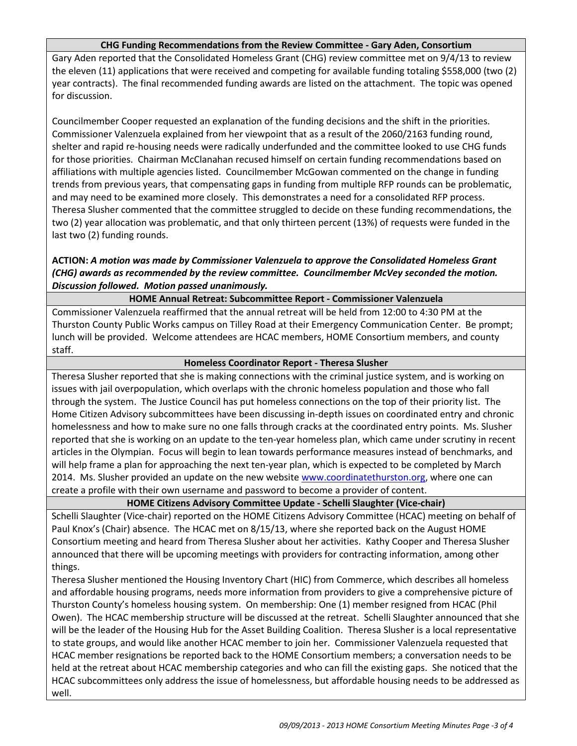### **CHG Funding Recommendations from the Review Committee - Gary Aden, Consortium**

Gary Aden reported that the Consolidated Homeless Grant (CHG) review committee met on 9/4/13 to review the eleven (11) applications that were received and competing for available funding totaling \$558,000 (two (2) year contracts). The final recommended funding awards are listed on the attachment. The topic was opened for discussion.

Councilmember Cooper requested an explanation of the funding decisions and the shift in the priorities. Commissioner Valenzuela explained from her viewpoint that as a result of the 2060/2163 funding round, shelter and rapid re-housing needs were radically underfunded and the committee looked to use CHG funds for those priorities. Chairman McClanahan recused himself on certain funding recommendations based on affiliations with multiple agencies listed. Councilmember McGowan commented on the change in funding trends from previous years, that compensating gaps in funding from multiple RFP rounds can be problematic, and may need to be examined more closely. This demonstrates a need for a consolidated RFP process. Theresa Slusher commented that the committee struggled to decide on these funding recommendations, the two (2) year allocation was problematic, and that only thirteen percent (13%) of requests were funded in the last two (2) funding rounds.

## **ACTION:** *A motion was made by Commissioner Valenzuela to approve the Consolidated Homeless Grant (CHG) awards as recommended by the review committee. Councilmember McVey seconded the motion. Discussion followed. Motion passed unanimously.*

## **HOME Annual Retreat: Subcommittee Report - Commissioner Valenzuela**

Commissioner Valenzuela reaffirmed that the annual retreat will be held from 12:00 to 4:30 PM at the Thurston County Public Works campus on Tilley Road at their Emergency Communication Center. Be prompt; lunch will be provided. Welcome attendees are HCAC members, HOME Consortium members, and county staff.

#### **Homeless Coordinator Report - Theresa Slusher**

Theresa Slusher reported that she is making connections with the criminal justice system, and is working on issues with jail overpopulation, which overlaps with the chronic homeless population and those who fall through the system. The Justice Council has put homeless connections on the top of their priority list. The Home Citizen Advisory subcommittees have been discussing in-depth issues on coordinated entry and chronic homelessness and how to make sure no one falls through cracks at the coordinated entry points. Ms. Slusher reported that she is working on an update to the ten-year homeless plan, which came under scrutiny in recent articles in the Olympian. Focus will begin to lean towards performance measures instead of benchmarks, and will help frame a plan for approaching the next ten-year plan, which is expected to be completed by March 2014. Ms. Slusher provided an update on the new website [www.coordinatethurston.org,](http://www.coordinatethurston.org/) where one can create a profile with their own username and password to become a provider of content.

### **HOME Citizens Advisory Committee Update - Schelli Slaughter (Vice-chair)**

Schelli Slaughter (Vice-chair) reported on the HOME Citizens Advisory Committee (HCAC) meeting on behalf of Paul Knox's (Chair) absence. The HCAC met on 8/15/13, where she reported back on the August HOME Consortium meeting and heard from Theresa Slusher about her activities. Kathy Cooper and Theresa Slusher announced that there will be upcoming meetings with providers for contracting information, among other things.

Theresa Slusher mentioned the Housing Inventory Chart (HIC) from Commerce, which describes all homeless and affordable housing programs, needs more information from providers to give a comprehensive picture of Thurston County's homeless housing system. On membership: One (1) member resigned from HCAC (Phil Owen). The HCAC membership structure will be discussed at the retreat. Schelli Slaughter announced that she will be the leader of the Housing Hub for the Asset Building Coalition. Theresa Slusher is a local representative to state groups, and would like another HCAC member to join her. Commissioner Valenzuela requested that HCAC member resignations be reported back to the HOME Consortium members; a conversation needs to be held at the retreat about HCAC membership categories and who can fill the existing gaps. She noticed that the HCAC subcommittees only address the issue of homelessness, but affordable housing needs to be addressed as well.